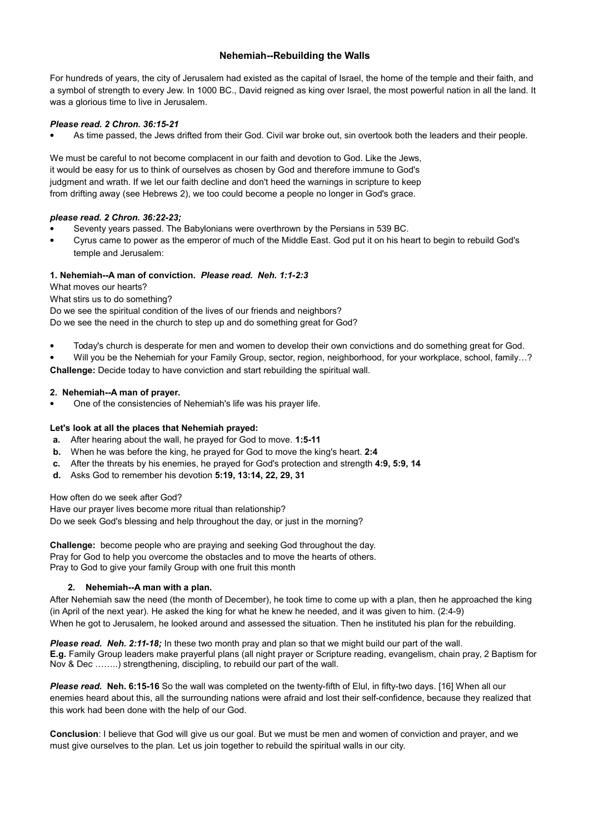## **Nehemiah--Rebuilding the Walls**

For hundreds of years, the city of Jerusalem had existed as the capital of Israel, the home of the temple and their faith, and a symbol of strength to every Jew. In 1000 BC., David reigned as king over Israel, the most powerful nation in all the land. It was a glorious time to live in Jerusalem.

## *Please read. 2 Chron. 36:15-21*

As time passed, the Jews drifted from their God. Civil war broke out, sin overtook both the leaders and their people.

We must be careful to not become complacent in our faith and devotion to God. Like the Jews, it would be easy for us to think of ourselves as chosen by God and therefore immune to God's judgment and wrath. If we let our faith decline and don't heed the warnings in scripture to keep from drifting away (see Hebrews 2), we too could become a people no longer in God's grace.

## *please read. 2 Chron. 36:22-23;*

- Seventy years passed. The Babylonians were overthrown by the Persians in 539 BC.
- Cyrus came to power as the emperor of much of the Middle East. God put it on his heart to begin to rebuild God's temple and Jerusalem:

## **1. Nehemiah--A man of conviction.** *Please read. Neh. 1:1-2:3*

What moves our hearts?

What stirs us to do something?

Do we see the spiritual condition of the lives of our friends and neighbors? Do we see the need in the church to step up and do something great for God?

Today's church is desperate for men and women to develop their own convictions and do something great for God.

 Will you be the Nehemiah for your Family Group, sector, region, neighborhood, for your workplace, school, family…? **Challenge:** Decide today to have conviction and start rebuilding the spiritual wall.

## **2. Nehemiah--A man of prayer.**

One of the consistencies of Nehemiah's life was his prayer life.

## **Let's look at all the places that Nehemiah prayed:**

- **a.** After hearing about the wall, he prayed for God to move. **1:5-11**
- **b.** When he was before the king, he prayed for God to move the king's heart. **2:4**
- **c.** After the threats by his enemies, he prayed for God's protection and strength **4:9, 5:9, 14**
- **d.** Asks God to remember his devotion **5:19, 13:14, 22, 29, 31**

How often do we seek after God?

Have our prayer lives become more ritual than relationship? Do we seek God's blessing and help throughout the day, or just in the morning?

**Challenge:** become people who are praying and seeking God throughout the day. Pray for God to help you overcome the obstacles and to move the hearts of others. Pray to God to give your family Group with one fruit this month

## **2. Nehemiah--A man with a plan.**

After Nehemiah saw the need (the month of December), he took time to come up with a plan, then he approached the king (in April of the next year). He asked the king for what he knew he needed, and it was given to him. (2:4-9) When he got to Jerusalem, he looked around and assessed the situation. Then he instituted his plan for the rebuilding.

*Please read. Neh. 2:11-18;* In these two month pray and plan so that we might build our part of the wall. **E.g.** Family Group leaders make prayerful plans (all night prayer or Scripture reading, evangelism, chain pray, 2 Baptism for Nov & Dec ……..) strengthening, discipling, to rebuild our part of the wall.

*Please read.* **Neh. 6:15-16** So the wall was completed on the twenty-fifth of Elul, in fifty-two days. [16] When all our enemies heard about this, all the surrounding nations were afraid and lost their self-confidence, because they realized that this work had been done with the help of our God.

**Conclusion**: I believe that God will give us our goal. But we must be men and women of conviction and prayer, and we must give ourselves to the plan. Let us join together to rebuild the spiritual walls in our city.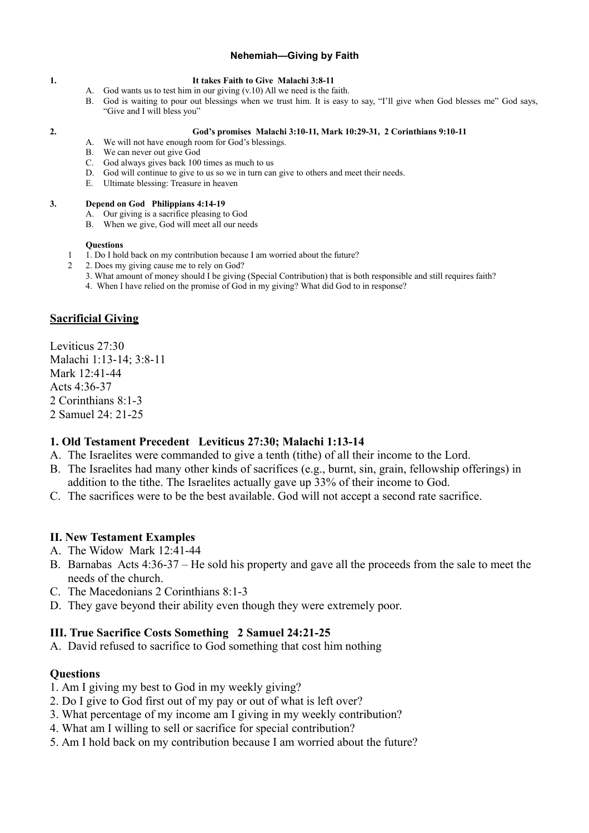## **Nehemiah—Giving by Faith**

### **1. It takes Faith to Give Malachi 3:8-11**

- A. God wants us to test him in our giving (v.10) All we need is the faith.
- B. God is waiting to pour out blessings when we trust him. It is easy to say, "I'll give when God blesses me" God says, "Give and I will bless you"

#### **2. God's promises Malachi 3:10-11, Mark 10:29-31, 2 Corinthians 9:10-11**

- A. We will not have enough room for God's blessings.
- B. We can never out give God
- C. God always gives back 100 times as much to us
- D. God will continue to give to us so we in turn can give to others and meet their needs.
- E. Ultimate blessing: Treasure in heaven

### **3. Depend on God Philippians 4:14-19**

- A. Our giving is a sacrifice pleasing to God
- B. When we give, God will meet all our needs

### **Questions**

- 1 1. Do I hold back on my contribution because I am worried about the future?
- 2 2. Does my giving cause me to rely on God?
	- 3. What amount of money should I be giving (Special Contribution) that is both responsible and still requires faith?
	- 4. When I have relied on the promise of God in my giving? What did God to in response?

# **Sacrificial Giving**

Leviticus 27:30 Malachi 1:13-14; 3:8-11 Mark 12:41-44 Acts 4:36-37 2 Corinthians 8:1-3 2 Samuel 24: 21-25

## **1. Old Testament Precedent Leviticus 27:30; Malachi 1:13-14**

- A. The Israelites were commanded to give a tenth (tithe) of all their income to the Lord.
- B. The Israelites had many other kinds of sacrifices (e.g., burnt, sin, grain, fellowship offerings) in addition to the tithe. The Israelites actually gave up 33% of their income to God.
- C. The sacrifices were to be the best available. God will not accept a second rate sacrifice.

# **II. New Testament Examples**

- A. The Widow Mark 12:41-44
- B. Barnabas Acts 4:36-37 He sold his property and gave all the proceeds from the sale to meet the needs of the church.
- C. The Macedonians 2 Corinthians 8:1-3
- D. They gave beyond their ability even though they were extremely poor.

# **III. True Sacrifice Costs Something 2 Samuel 24:21-25**

A. David refused to sacrifice to God something that cost him nothing

# **Questions**

- 1. Am I giving my best to God in my weekly giving?
- 2. Do I give to God first out of my pay or out of what is left over?
- 3. What percentage of my income am I giving in my weekly contribution?
- 4. What am I willing to sell or sacrifice for special contribution?
- 5. Am I hold back on my contribution because I am worried about the future?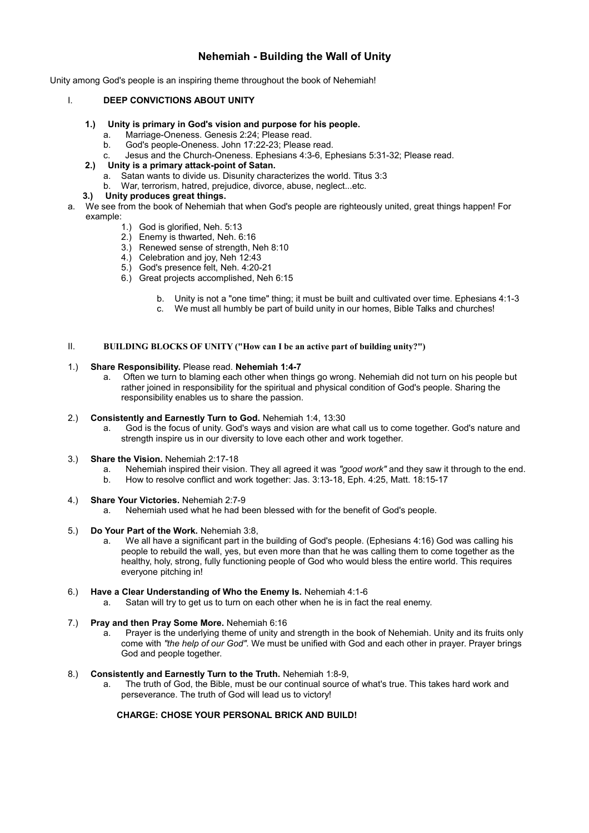# **Nehemiah - Building the Wall of Unity**

Unity among God's people is an inspiring theme throughout the book of Nehemiah!

## I. **DEEP CONVICTIONS ABOUT UNITY**

- **1.) Unity is primary in God's vision and purpose for his people.**
	- a. Marriage-Oneness. Genesis 2:24; Please read.
	- God's people-Oneness. John 17:22-23; Please read.
	- c. Jesus and the Church-Oneness. Ephesians 4:3-6, Ephesians 5:31-32; Please read.
- **2.) Unity is a primary attack-point of Satan.**
	- a. Satan wants to divide us. Disunity characterizes the world. Titus 3:3
	- b. War, terrorism, hatred, prejudice, divorce, abuse, neglect...etc.
- **3.) Unity produces great things.**
- a. We see from the book of Nehemiah that when God's people are righteously united, great things happen! For example:
	- 1.) God is glorified, Neh. 5:13
	- 2.) Enemy is thwarted, Neh. 6:16
	- 3.) Renewed sense of strength, Neh 8:10
	- 4.) Celebration and joy, Neh 12:43
	- 5.) God's presence felt, Neh. 4:20-21
	- 6.) Great projects accomplished, Neh 6:15
		- b. Unity is not a "one time" thing; it must be built and cultivated over time. Ephesians 4:1-3
		- c. We must all humbly be part of build unity in our homes, Bible Talks and churches!

## II. **BUILDING BLOCKS OF UNITY ("How can I be an active part of building unity?")**

#### 1.) **Share Responsibility.** Please read. **Nehemiah 1:4-7**

a. Often we turn to blaming each other when things go wrong. Nehemiah did not turn on his people but rather joined in responsibility for the spiritual and physical condition of God's people. Sharing the responsibility enables us to share the passion.

#### 2.) **Consistently and Earnestly Turn to God.** Nehemiah 1:4, 13:30

a. God is the focus of unity. God's ways and vision are what call us to come together. God's nature and strength inspire us in our diversity to love each other and work together.

### 3.) **Share the Vision.** Nehemiah 2:17-18

- a. Nehemiah inspired their vision. They all agreed it was *"good work"* and they saw it through to the end.
- b. How to resolve conflict and work together: Jas. 3:13-18, Eph. 4:25, Matt. 18:15-17
- 4.) **Share Your Victories.** Nehemiah 2:7-9
	- a. Nehemiah used what he had been blessed with for the benefit of God's people.

#### 5.) **Do Your Part of the Work.** Nehemiah 3:8,

- a. We all have a significant part in the building of God's people. (Ephesians 4:16) God was calling his people to rebuild the wall, yes, but even more than that he was calling them to come together as the healthy, holy, strong, fully functioning people of God who would bless the entire world. This requires everyone pitching in!
- 6.) **Have a Clear Understanding of Who the Enemy Is.** Nehemiah 4:1-6
	- a. Satan will try to get us to turn on each other when he is in fact the real enemy.

## 7.) **Pray and then Pray Some More.** Nehemiah 6:16

a. Prayer is the underlying theme of unity and strength in the book of Nehemiah. Unity and its fruits only come with *"the help of our God".* We must be unified with God and each other in prayer. Prayer brings God and people together.

#### 8.) **Consistently and Earnestly Turn to the Truth.** Nehemiah 1:8-9,

a. The truth of God, the Bible, must be our continual source of what's true. This takes hard work and perseverance. The truth of God will lead us to victory!

### **CHARGE: CHOSE YOUR PERSONAL BRICK AND BUILD!**